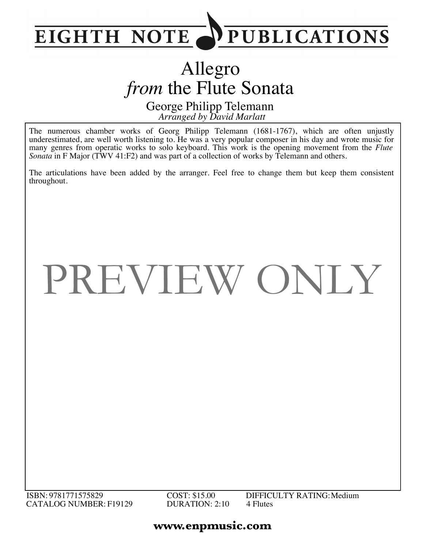

## Allegro *from the Flute Sonata*

*Arranged by David Marlatt* George Philipp Telemann

The numerous chamber works of Georg Philipp Telemann (1681-1767), which are often unjustly underestimated, are well worth listening to. He was a very popular composer in his day and wrote music for many genres from operatic works to solo keyboard. This work is the opening movement from the *Flute Sonata* in F Major (TWV 41:F2) and was part of a collection of works by Telemann and others.

The articulations have been added by the arranger. Feel free to change them but keep them consistent throughout.

## PREVIEW ONLY

ISBN: 9781771575829 CATALOG NUMBER: F19129 COST: \$15.00 DURATION: 2:10 4 Flutes

DIFFICULTY RATING:Medium

## **www.enpmusic.com**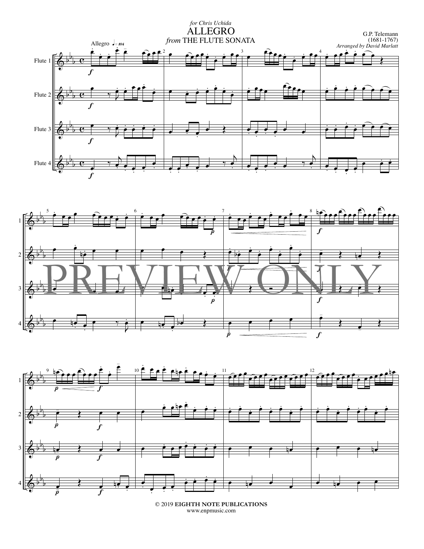





<sup>© 2019</sup> **EIGHTH NOTE PUBLICATIONS** www.enpmusic.com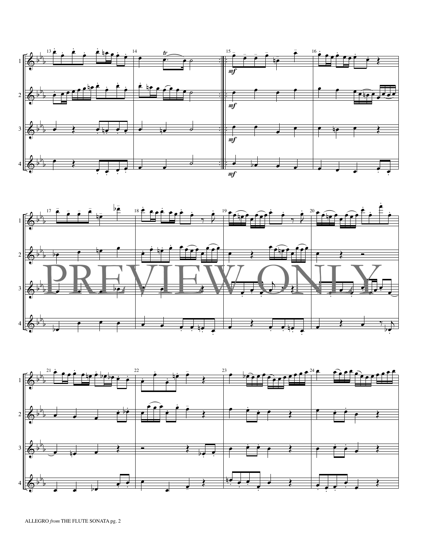